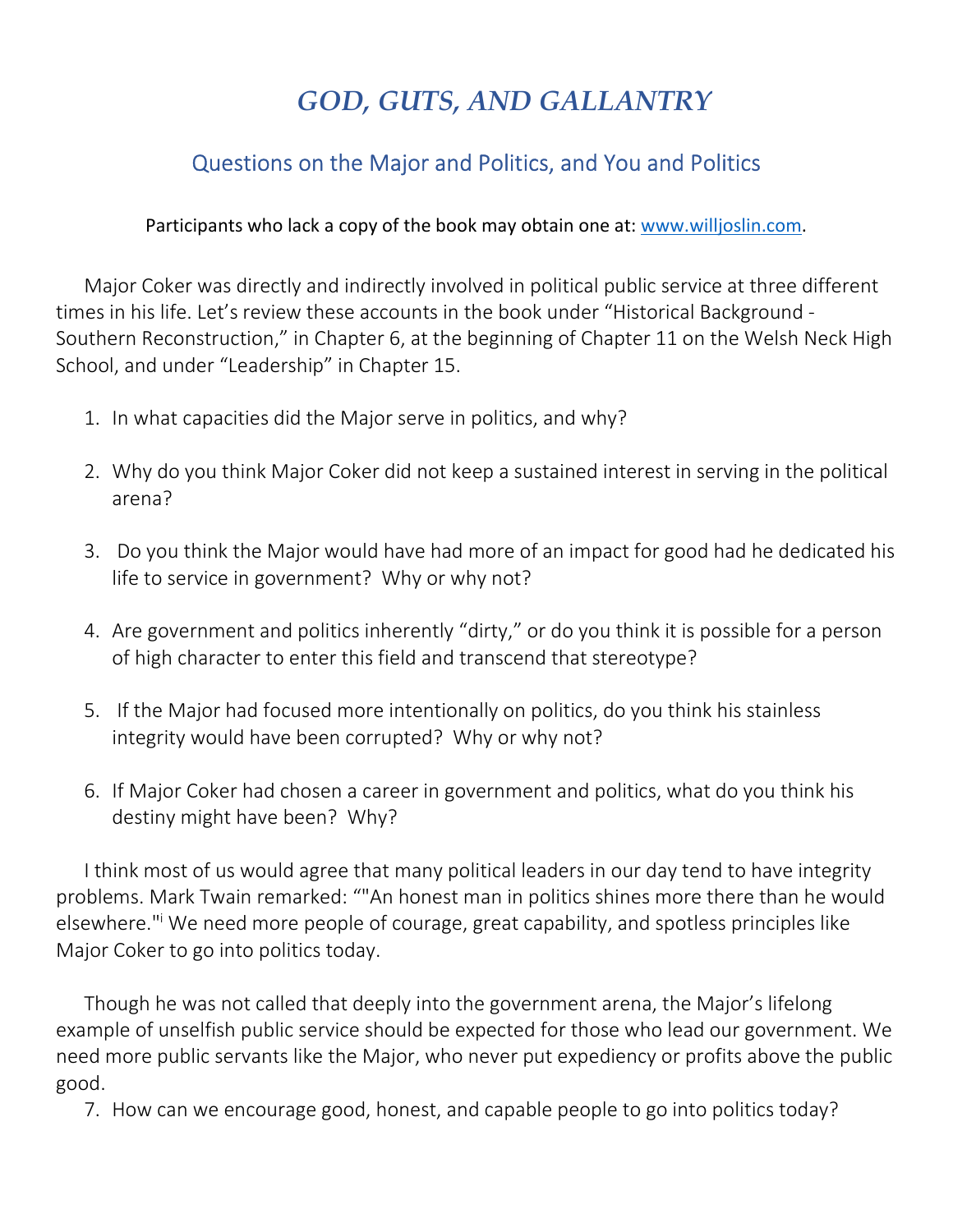## *GOD, GUTS, AND GALLANTRY*

## Questions on the Major and Politics, and You and Politics

Participants who lack a copy of the book may obtain one at: www.willjoslin.com.

Major Coker was directly and indirectly involved in political public service at three different times in his life. Let's review these accounts in the book under "Historical Background - Southern Reconstruction," in Chapter 6, at the beginning of Chapter 11 on the Welsh Neck High School, and under "Leadership" in Chapter 15.

- 1. In what capacities did the Major serve in politics, and why?
- 2. Why do you think Major Coker did not keep a sustained interest in serving in the political arena?
- 3. Do you think the Major would have had more of an impact for good had he dedicated his life to service in government? Why or why not?
- 4. Are government and politics inherently "dirty," or do you think it is possible for a person of high character to enter this field and transcend that stereotype?
- 5. If the Major had focused more intentionally on politics, do you think his stainless integrity would have been corrupted? Why or why not?
- 6. If Major Coker had chosen a career in government and politics, what do you think his destiny might have been? Why?

I think most of us would agree that many political leaders in our day tend to have integrity problems. Mark Twain remarked: ""An honest man in politics shines more there than he would elsewhere." We need more people of courage, great capability, and spotless principles like Major Coker to go into politics today.

Though he was not called that deeply into the government arena, the Major's lifelong example of unselfish public service should be expected for those who lead our government. We need more public servants like the Major, who never put expediency or profits above the public good.

7. How can we encourage good, honest, and capable people to go into politics today?